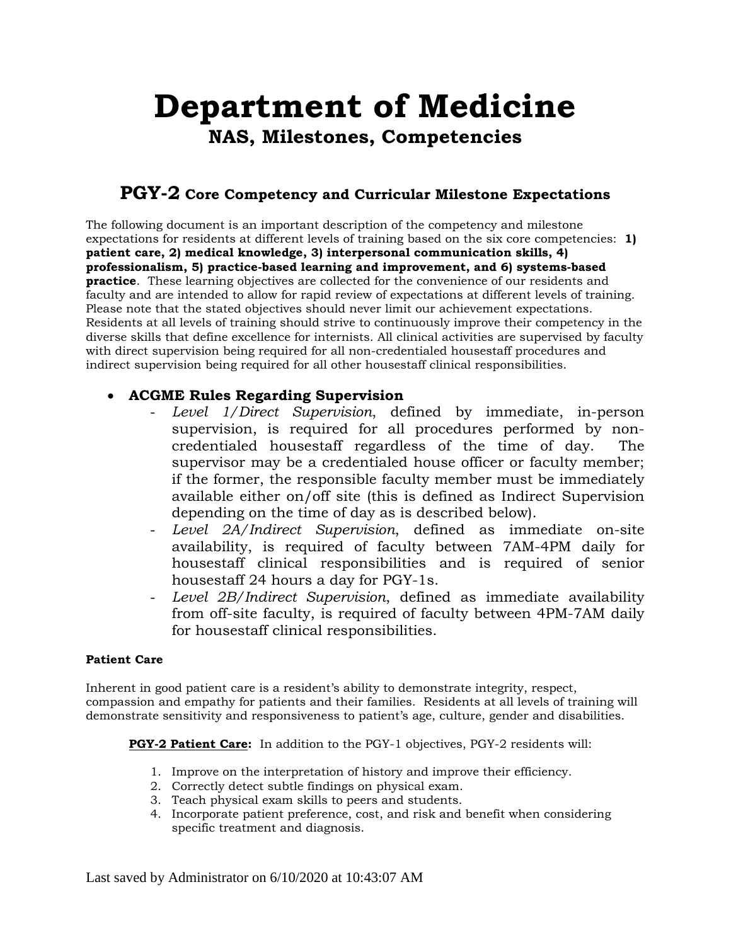# **Department of Medicine NAS, Milestones, Competencies**

## **PGY-2 Core Competency and Curricular Milestone Expectations**

The following document is an important description of the competency and milestone expectations for residents at different levels of training based on the six core competencies: **1) patient care, 2) medical knowledge, 3) interpersonal communication skills, 4) professionalism, 5) practice-based learning and improvement, and 6) systems-based practice**. These learning objectives are collected for the convenience of our residents and faculty and are intended to allow for rapid review of expectations at different levels of training. Please note that the stated objectives should never limit our achievement expectations. Residents at all levels of training should strive to continuously improve their competency in the diverse skills that define excellence for internists. All clinical activities are supervised by faculty with direct supervision being required for all non-credentialed housestaff procedures and indirect supervision being required for all other housestaff clinical responsibilities.

### • **ACGME Rules Regarding Supervision**

- *Level 1/Direct Supervision*, defined by immediate, in-person supervision, is required for all procedures performed by noncredentialed housestaff regardless of the time of day. The supervisor may be a credentialed house officer or faculty member; if the former, the responsible faculty member must be immediately available either on/off site (this is defined as Indirect Supervision depending on the time of day as is described below).
- *Level 2A/Indirect Supervision*, defined as immediate on-site availability, is required of faculty between 7AM-4PM daily for housestaff clinical responsibilities and is required of senior housestaff 24 hours a day for PGY-1s.
- *Level 2B/Indirect Supervision*, defined as immediate availability from off-site faculty, is required of faculty between 4PM-7AM daily for housestaff clinical responsibilities.

#### **Patient Care**

Inherent in good patient care is a resident's ability to demonstrate integrity, respect, compassion and empathy for patients and their families. Residents at all levels of training will demonstrate sensitivity and responsiveness to patient's age, culture, gender and disabilities.

#### **PGY-2 Patient Care:** In addition to the PGY-1 objectives, PGY-2 residents will:

- 1. Improve on the interpretation of history and improve their efficiency.
- 2. Correctly detect subtle findings on physical exam.
- 3. Teach physical exam skills to peers and students.
- 4. Incorporate patient preference, cost, and risk and benefit when considering specific treatment and diagnosis.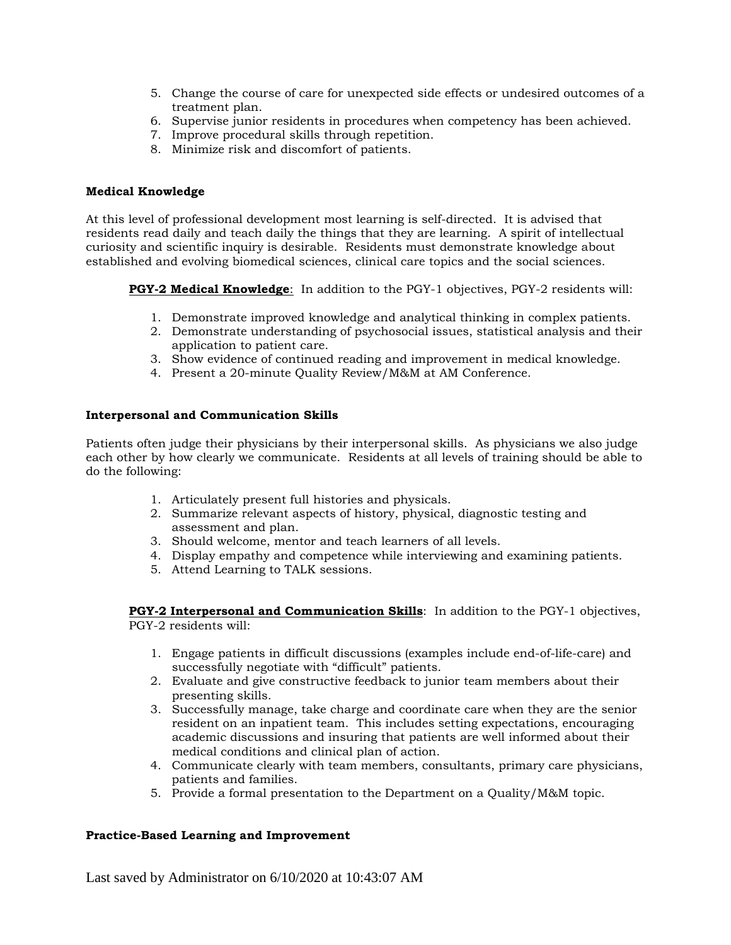- 5. Change the course of care for unexpected side effects or undesired outcomes of a treatment plan.
- 6. Supervise junior residents in procedures when competency has been achieved.
- 7. Improve procedural skills through repetition.
- 8. Minimize risk and discomfort of patients.

#### **Medical Knowledge**

At this level of professional development most learning is self-directed. It is advised that residents read daily and teach daily the things that they are learning. A spirit of intellectual curiosity and scientific inquiry is desirable. Residents must demonstrate knowledge about established and evolving biomedical sciences, clinical care topics and the social sciences.

**PGY-2 Medical Knowledge**: In addition to the PGY-1 objectives, PGY-2 residents will:

- 1. Demonstrate improved knowledge and analytical thinking in complex patients.
- 2. Demonstrate understanding of psychosocial issues, statistical analysis and their application to patient care.
- 3. Show evidence of continued reading and improvement in medical knowledge.
- 4. Present a 20-minute Quality Review/M&M at AM Conference.

#### **Interpersonal and Communication Skills**

Patients often judge their physicians by their interpersonal skills. As physicians we also judge each other by how clearly we communicate. Residents at all levels of training should be able to do the following:

- 1. Articulately present full histories and physicals.
- 2. Summarize relevant aspects of history, physical, diagnostic testing and assessment and plan.
- 3. Should welcome, mentor and teach learners of all levels.
- 4. Display empathy and competence while interviewing and examining patients.
- 5. Attend Learning to TALK sessions.

**PGY-2 Interpersonal and Communication Skills**: In addition to the PGY-1 objectives, PGY-2 residents will:

- 1. Engage patients in difficult discussions (examples include end-of-life-care) and successfully negotiate with "difficult" patients.
- 2. Evaluate and give constructive feedback to junior team members about their presenting skills.
- 3. Successfully manage, take charge and coordinate care when they are the senior resident on an inpatient team. This includes setting expectations, encouraging academic discussions and insuring that patients are well informed about their medical conditions and clinical plan of action.
- 4. Communicate clearly with team members, consultants, primary care physicians, patients and families.
- 5. Provide a formal presentation to the Department on a Quality/M&M topic.

#### **Practice-Based Learning and Improvement**

Last saved by Administrator on 6/10/2020 at 10:43:07 AM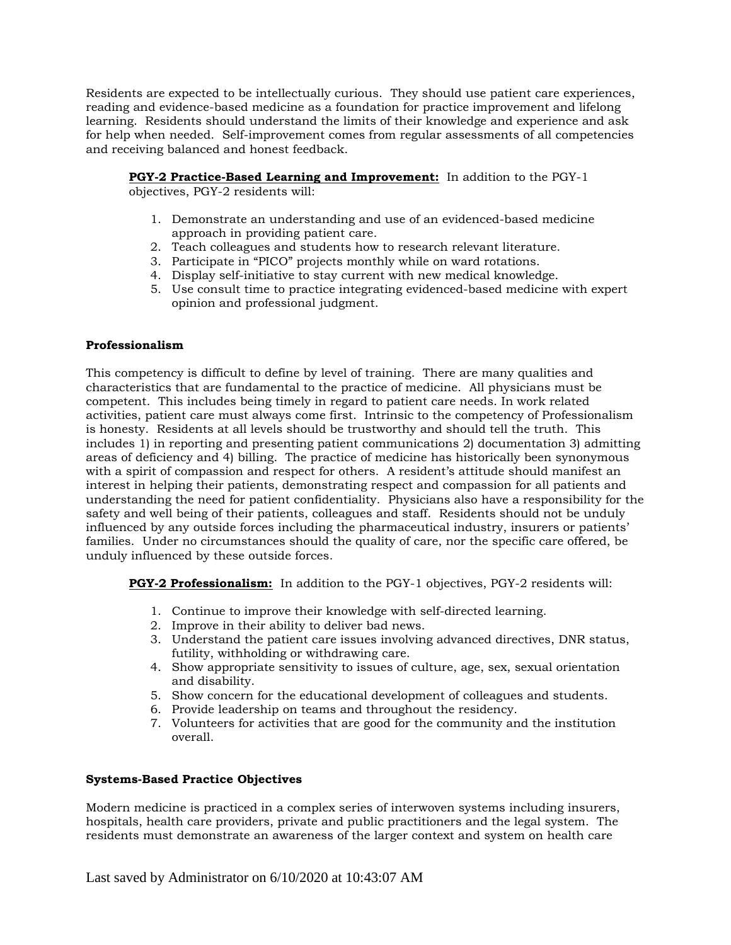Residents are expected to be intellectually curious. They should use patient care experiences, reading and evidence-based medicine as a foundation for practice improvement and lifelong learning. Residents should understand the limits of their knowledge and experience and ask for help when needed. Self-improvement comes from regular assessments of all competencies and receiving balanced and honest feedback.

**PGY-2 Practice-Based Learning and Improvement:** In addition to the PGY-1 objectives, PGY-2 residents will:

- 1. Demonstrate an understanding and use of an evidenced-based medicine approach in providing patient care.
- 2. Teach colleagues and students how to research relevant literature.
- 3. Participate in "PICO" projects monthly while on ward rotations.
- 4. Display self-initiative to stay current with new medical knowledge.
- 5. Use consult time to practice integrating evidenced-based medicine with expert opinion and professional judgment.

#### **Professionalism**

This competency is difficult to define by level of training. There are many qualities and characteristics that are fundamental to the practice of medicine. All physicians must be competent. This includes being timely in regard to patient care needs. In work related activities, patient care must always come first. Intrinsic to the competency of Professionalism is honesty. Residents at all levels should be trustworthy and should tell the truth. This includes 1) in reporting and presenting patient communications 2) documentation 3) admitting areas of deficiency and 4) billing. The practice of medicine has historically been synonymous with a spirit of compassion and respect for others. A resident's attitude should manifest an interest in helping their patients, demonstrating respect and compassion for all patients and understanding the need for patient confidentiality. Physicians also have a responsibility for the safety and well being of their patients, colleagues and staff. Residents should not be unduly influenced by any outside forces including the pharmaceutical industry, insurers or patients' families. Under no circumstances should the quality of care, nor the specific care offered, be unduly influenced by these outside forces.

**PGY-2 Professionalism:** In addition to the PGY-1 objectives, PGY-2 residents will:

- 1. Continue to improve their knowledge with self-directed learning.
- 2. Improve in their ability to deliver bad news.
- 3. Understand the patient care issues involving advanced directives, DNR status, futility, withholding or withdrawing care.
- 4. Show appropriate sensitivity to issues of culture, age, sex, sexual orientation and disability.
- 5. Show concern for the educational development of colleagues and students.
- 6. Provide leadership on teams and throughout the residency.
- 7. Volunteers for activities that are good for the community and the institution overall.

#### **Systems-Based Practice Objectives**

Modern medicine is practiced in a complex series of interwoven systems including insurers, hospitals, health care providers, private and public practitioners and the legal system. The residents must demonstrate an awareness of the larger context and system on health care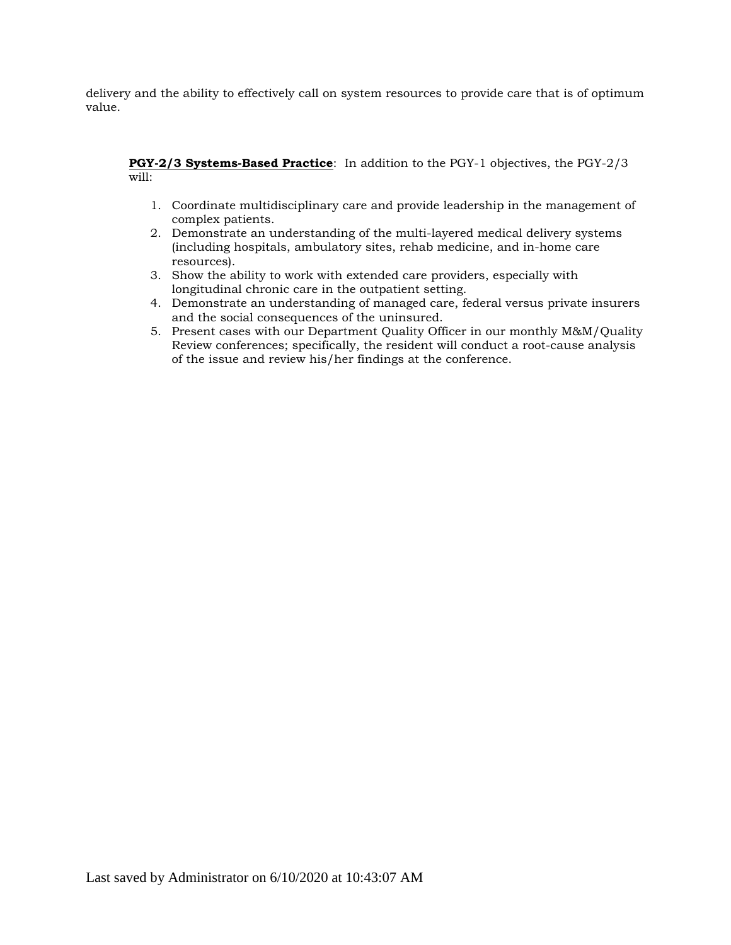delivery and the ability to effectively call on system resources to provide care that is of optimum value.

#### **PGY-2/3 Systems-Based Practice**: In addition to the PGY-1 objectives, the PGY-2/3 will:

- 1. Coordinate multidisciplinary care and provide leadership in the management of complex patients.
- 2. Demonstrate an understanding of the multi-layered medical delivery systems (including hospitals, ambulatory sites, rehab medicine, and in-home care resources).
- 3. Show the ability to work with extended care providers, especially with longitudinal chronic care in the outpatient setting.
- 4. Demonstrate an understanding of managed care, federal versus private insurers and the social consequences of the uninsured.
- 5. Present cases with our Department Quality Officer in our monthly M&M/Quality Review conferences; specifically, the resident will conduct a root-cause analysis of the issue and review his/her findings at the conference.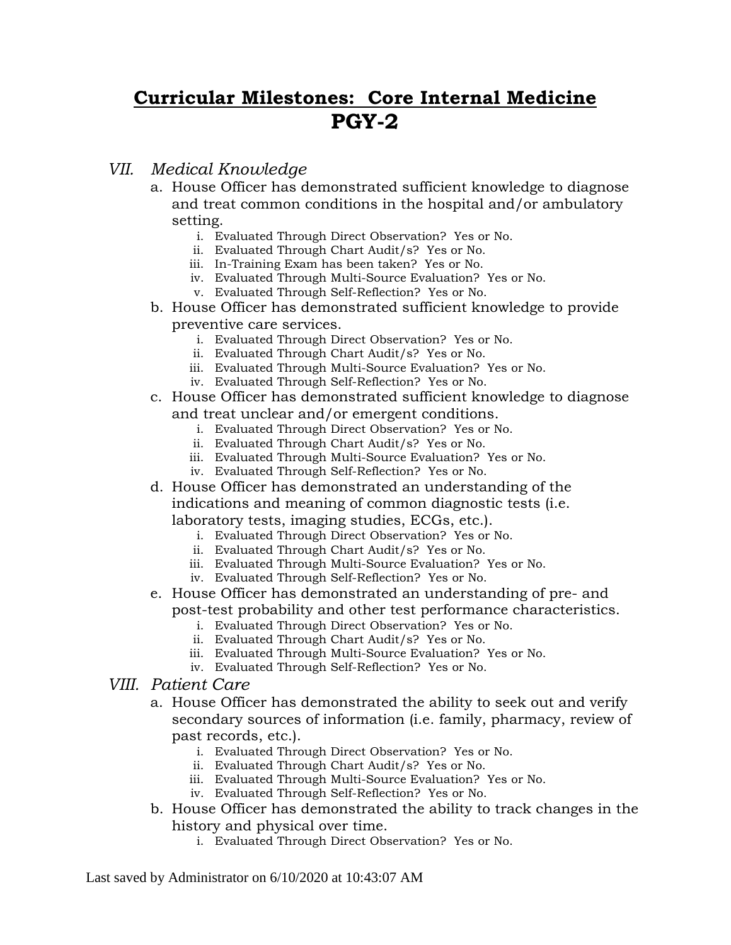## **Curricular Milestones: Core Internal Medicine PGY-2**

## *VII. Medical Knowledge*

- a. House Officer has demonstrated sufficient knowledge to diagnose and treat common conditions in the hospital and/or ambulatory setting.
	- i. Evaluated Through Direct Observation? Yes or No.
	- ii. Evaluated Through Chart Audit/s? Yes or No.
	- iii. In-Training Exam has been taken? Yes or No.
	- iv. Evaluated Through Multi-Source Evaluation? Yes or No.
	- v. Evaluated Through Self-Reflection? Yes or No.
- b. House Officer has demonstrated sufficient knowledge to provide preventive care services.
	- i. Evaluated Through Direct Observation? Yes or No.
	- ii. Evaluated Through Chart Audit/s? Yes or No.
	- iii. Evaluated Through Multi-Source Evaluation? Yes or No.
	- iv. Evaluated Through Self-Reflection? Yes or No.
- c. House Officer has demonstrated sufficient knowledge to diagnose and treat unclear and/or emergent conditions.
	- i. Evaluated Through Direct Observation? Yes or No.
	- ii. Evaluated Through Chart Audit/s? Yes or No.
	- iii. Evaluated Through Multi-Source Evaluation? Yes or No.
	- iv. Evaluated Through Self-Reflection? Yes or No.
- d. House Officer has demonstrated an understanding of the indications and meaning of common diagnostic tests (i.e.

laboratory tests, imaging studies, ECGs, etc.).

- i. Evaluated Through Direct Observation? Yes or No.
- ii. Evaluated Through Chart Audit/s? Yes or No.
- iii. Evaluated Through Multi-Source Evaluation? Yes or No.
- iv. Evaluated Through Self-Reflection? Yes or No.
- e. House Officer has demonstrated an understanding of pre- and post-test probability and other test performance characteristics.
	- i. Evaluated Through Direct Observation? Yes or No.
	- ii. Evaluated Through Chart Audit/s? Yes or No.
	- iii. Evaluated Through Multi-Source Evaluation? Yes or No.
	- iv. Evaluated Through Self-Reflection? Yes or No.
- *VIII. Patient Care*
	- a. House Officer has demonstrated the ability to seek out and verify secondary sources of information (i.e. family, pharmacy, review of past records, etc.).
		- i. Evaluated Through Direct Observation? Yes or No.
		- ii. Evaluated Through Chart Audit/s? Yes or No.
		- iii. Evaluated Through Multi-Source Evaluation? Yes or No.
		- iv. Evaluated Through Self-Reflection? Yes or No.
	- b. House Officer has demonstrated the ability to track changes in the history and physical over time.
		- i. Evaluated Through Direct Observation? Yes or No.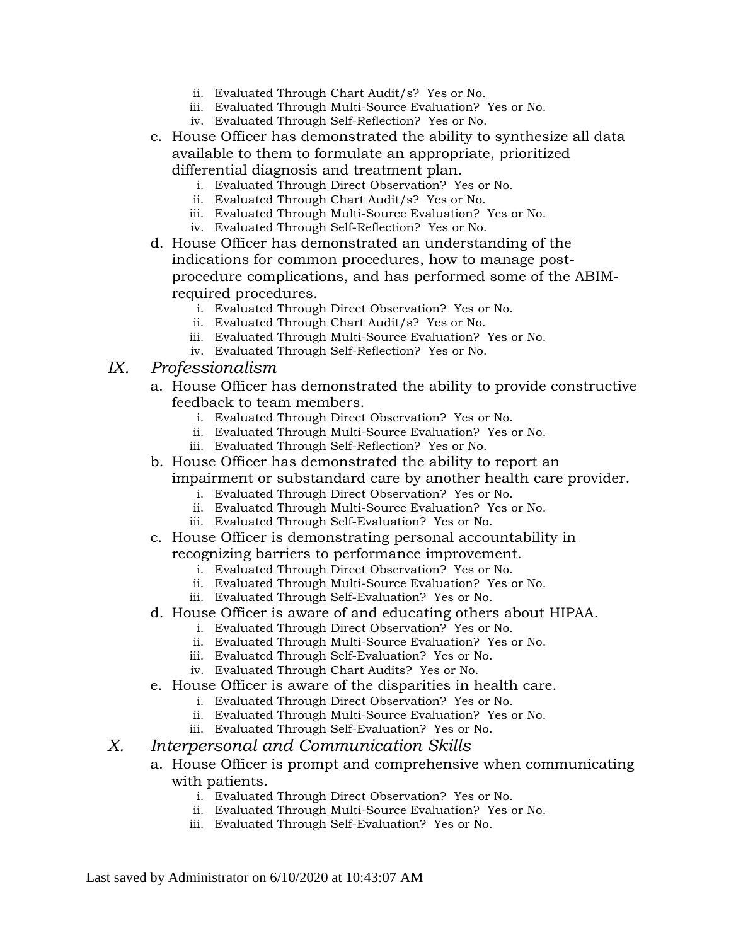- ii. Evaluated Through Chart Audit/s? Yes or No.
- iii. Evaluated Through Multi-Source Evaluation? Yes or No.
- iv. Evaluated Through Self-Reflection? Yes or No.
- c. House Officer has demonstrated the ability to synthesize all data available to them to formulate an appropriate, prioritized differential diagnosis and treatment plan.
	- i. Evaluated Through Direct Observation? Yes or No.
	- ii. Evaluated Through Chart Audit/s? Yes or No.
	- iii. Evaluated Through Multi-Source Evaluation? Yes or No.
	- iv. Evaluated Through Self-Reflection? Yes or No.
- d. House Officer has demonstrated an understanding of the indications for common procedures, how to manage postprocedure complications, and has performed some of the ABIMrequired procedures.
	- i. Evaluated Through Direct Observation? Yes or No.
	- ii. Evaluated Through Chart Audit/s? Yes or No.
	- iii. Evaluated Through Multi-Source Evaluation? Yes or No.
	- iv. Evaluated Through Self-Reflection? Yes or No.

## *IX. Professionalism*

- a. House Officer has demonstrated the ability to provide constructive feedback to team members.
	- i. Evaluated Through Direct Observation? Yes or No.
	- ii. Evaluated Through Multi-Source Evaluation? Yes or No.
	- iii. Evaluated Through Self-Reflection? Yes or No.
- b. House Officer has demonstrated the ability to report an impairment or substandard care by another health care provider.
	- i. Evaluated Through Direct Observation? Yes or No.
	- ii. Evaluated Through Multi-Source Evaluation? Yes or No.
	- iii. Evaluated Through Self-Evaluation? Yes or No.
- c. House Officer is demonstrating personal accountability in recognizing barriers to performance improvement.
	- i. Evaluated Through Direct Observation? Yes or No.
	- ii. Evaluated Through Multi-Source Evaluation? Yes or No.
	- iii. Evaluated Through Self-Evaluation? Yes or No.
- d. House Officer is aware of and educating others about HIPAA.
	- i. Evaluated Through Direct Observation? Yes or No.
	- ii. Evaluated Through Multi-Source Evaluation? Yes or No.
	- iii. Evaluated Through Self-Evaluation? Yes or No.
	- iv. Evaluated Through Chart Audits? Yes or No.
- e. House Officer is aware of the disparities in health care.
	- i. Evaluated Through Direct Observation? Yes or No.
	- ii. Evaluated Through Multi-Source Evaluation? Yes or No.
	- iii. Evaluated Through Self-Evaluation? Yes or No.

## *X. Interpersonal and Communication Skills*

- a. House Officer is prompt and comprehensive when communicating with patients.
	- i. Evaluated Through Direct Observation? Yes or No.
	- ii. Evaluated Through Multi-Source Evaluation? Yes or No.
	- iii. Evaluated Through Self-Evaluation? Yes or No.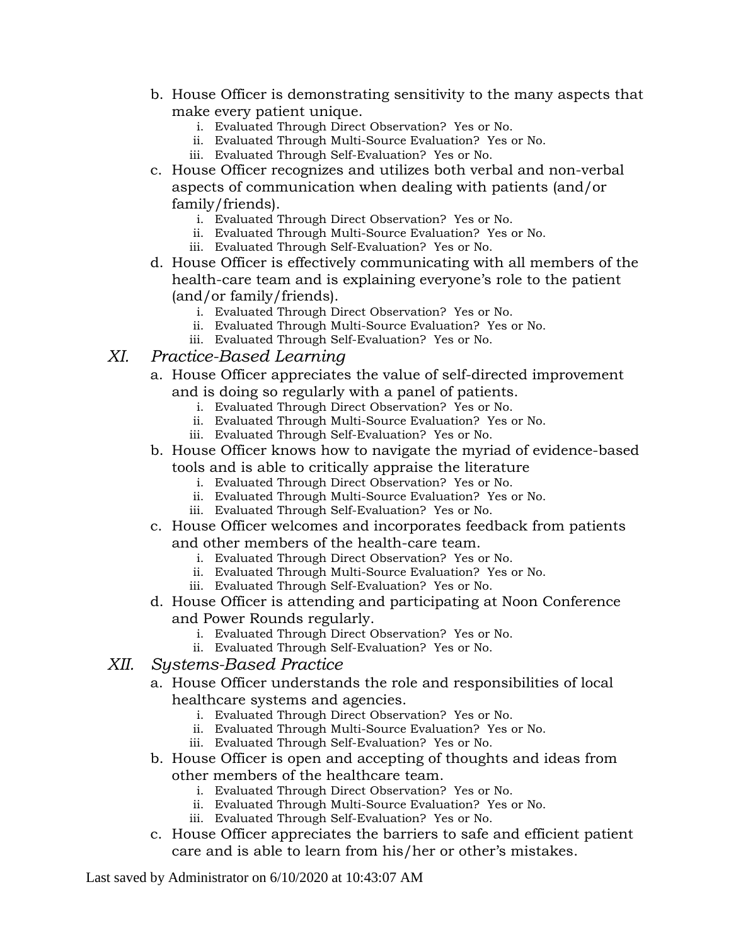- b. House Officer is demonstrating sensitivity to the many aspects that make every patient unique.
	- i. Evaluated Through Direct Observation? Yes or No.
	- ii. Evaluated Through Multi-Source Evaluation? Yes or No.
	- iii. Evaluated Through Self-Evaluation? Yes or No.
- c. House Officer recognizes and utilizes both verbal and non-verbal aspects of communication when dealing with patients (and/or family/friends).
	- i. Evaluated Through Direct Observation? Yes or No.
	- ii. Evaluated Through Multi-Source Evaluation? Yes or No.
	- iii. Evaluated Through Self-Evaluation? Yes or No.
- d. House Officer is effectively communicating with all members of the health-care team and is explaining everyone's role to the patient (and/or family/friends).
	- i. Evaluated Through Direct Observation? Yes or No.
	- ii. Evaluated Through Multi-Source Evaluation? Yes or No.
	- iii. Evaluated Through Self-Evaluation? Yes or No.
- *XI. Practice-Based Learning*
	- a. House Officer appreciates the value of self-directed improvement and is doing so regularly with a panel of patients.
		- i. Evaluated Through Direct Observation? Yes or No.
		- ii. Evaluated Through Multi-Source Evaluation? Yes or No.
		- iii. Evaluated Through Self-Evaluation? Yes or No.
	- b. House Officer knows how to navigate the myriad of evidence-based tools and is able to critically appraise the literature
		- i. Evaluated Through Direct Observation? Yes or No.
		- ii. Evaluated Through Multi-Source Evaluation? Yes or No.
		- iii. Evaluated Through Self-Evaluation? Yes or No.
	- c. House Officer welcomes and incorporates feedback from patients and other members of the health-care team.
		- i. Evaluated Through Direct Observation? Yes or No.
		- ii. Evaluated Through Multi-Source Evaluation? Yes or No.
		- iii. Evaluated Through Self-Evaluation? Yes or No.
	- d. House Officer is attending and participating at Noon Conference and Power Rounds regularly.
		- i. Evaluated Through Direct Observation? Yes or No.
		- ii. Evaluated Through Self-Evaluation? Yes or No.

## *XII. Systems-Based Practice*

- a. House Officer understands the role and responsibilities of local healthcare systems and agencies.
	- i. Evaluated Through Direct Observation? Yes or No.
	- ii. Evaluated Through Multi-Source Evaluation? Yes or No.
	- iii. Evaluated Through Self-Evaluation? Yes or No.
- b. House Officer is open and accepting of thoughts and ideas from other members of the healthcare team.
	- i. Evaluated Through Direct Observation? Yes or No.
	- ii. Evaluated Through Multi-Source Evaluation? Yes or No.
	- iii. Evaluated Through Self-Evaluation? Yes or No.
- c. House Officer appreciates the barriers to safe and efficient patient care and is able to learn from his/her or other's mistakes.

Last saved by Administrator on 6/10/2020 at 10:43:07 AM